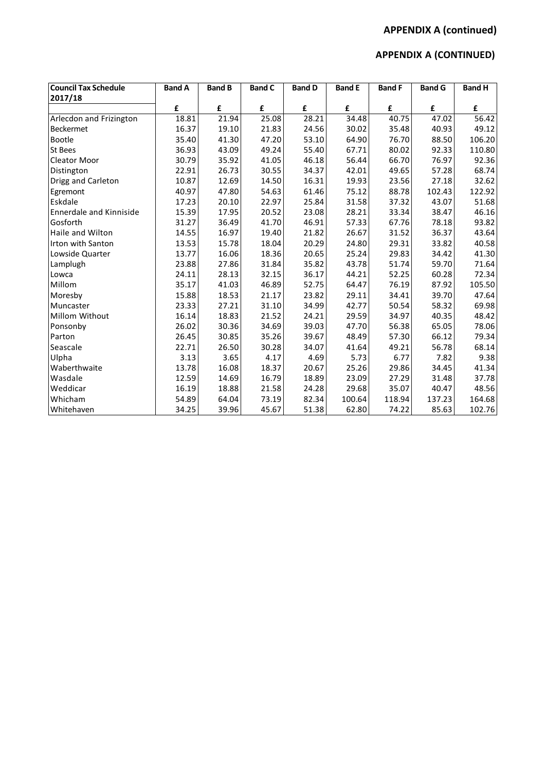# **APPENDIX A (continued)**

# **APPENDIX A (CONTINUED)**

| <b>Council Tax Schedule</b>    | <b>Band A</b> | <b>Band B</b> | <b>Band C</b> | <b>Band D</b> | <b>Band E</b> | <b>Band F</b> | <b>Band G</b> | <b>Band H</b> |
|--------------------------------|---------------|---------------|---------------|---------------|---------------|---------------|---------------|---------------|
| 2017/18                        |               |               |               |               |               |               |               |               |
|                                | £             | £             | £             | £             | £             | £             | £             | £             |
| Arlecdon and Frizington        | 18.81         | 21.94         | 25.08         | 28.21         | 34.48         | 40.75         | 47.02         | 56.42         |
| <b>Beckermet</b>               | 16.37         | 19.10         | 21.83         | 24.56         | 30.02         | 35.48         | 40.93         | 49.12         |
| Bootle                         | 35.40         | 41.30         | 47.20         | 53.10         | 64.90         | 76.70         | 88.50         | 106.20        |
| <b>St Bees</b>                 | 36.93         | 43.09         | 49.24         | 55.40         | 67.71         | 80.02         | 92.33         | 110.80        |
| <b>Cleator Moor</b>            | 30.79         | 35.92         | 41.05         | 46.18         | 56.44         | 66.70         | 76.97         | 92.36         |
| Distington                     | 22.91         | 26.73         | 30.55         | 34.37         | 42.01         | 49.65         | 57.28         | 68.74         |
| Drigg and Carleton             | 10.87         | 12.69         | 14.50         | 16.31         | 19.93         | 23.56         | 27.18         | 32.62         |
| Egremont                       | 40.97         | 47.80         | 54.63         | 61.46         | 75.12         | 88.78         | 102.43        | 122.92        |
| Eskdale                        | 17.23         | 20.10         | 22.97         | 25.84         | 31.58         | 37.32         | 43.07         | 51.68         |
| <b>Ennerdale and Kinniside</b> | 15.39         | 17.95         | 20.52         | 23.08         | 28.21         | 33.34         | 38.47         | 46.16         |
| Gosforth                       | 31.27         | 36.49         | 41.70         | 46.91         | 57.33         | 67.76         | 78.18         | 93.82         |
| Haile and Wilton               | 14.55         | 16.97         | 19.40         | 21.82         | 26.67         | 31.52         | 36.37         | 43.64         |
| <b>Irton with Santon</b>       | 13.53         | 15.78         | 18.04         | 20.29         | 24.80         | 29.31         | 33.82         | 40.58         |
| Lowside Quarter                | 13.77         | 16.06         | 18.36         | 20.65         | 25.24         | 29.83         | 34.42         | 41.30         |
| Lamplugh                       | 23.88         | 27.86         | 31.84         | 35.82         | 43.78         | 51.74         | 59.70         | 71.64         |
| Lowca                          | 24.11         | 28.13         | 32.15         | 36.17         | 44.21         | 52.25         | 60.28         | 72.34         |
| Millom                         | 35.17         | 41.03         | 46.89         | 52.75         | 64.47         | 76.19         | 87.92         | 105.50        |
| Moresby                        | 15.88         | 18.53         | 21.17         | 23.82         | 29.11         | 34.41         | 39.70         | 47.64         |
| Muncaster                      | 23.33         | 27.21         | 31.10         | 34.99         | 42.77         | 50.54         | 58.32         | 69.98         |
| Millom Without                 | 16.14         | 18.83         | 21.52         | 24.21         | 29.59         | 34.97         | 40.35         | 48.42         |
| Ponsonby                       | 26.02         | 30.36         | 34.69         | 39.03         | 47.70         | 56.38         | 65.05         | 78.06         |
| Parton                         | 26.45         | 30.85         | 35.26         | 39.67         | 48.49         | 57.30         | 66.12         | 79.34         |
| Seascale                       | 22.71         | 26.50         | 30.28         | 34.07         | 41.64         | 49.21         | 56.78         | 68.14         |
| Ulpha                          | 3.13          | 3.65          | 4.17          | 4.69          | 5.73          | 6.77          | 7.82          | 9.38          |
| Waberthwaite                   | 13.78         | 16.08         | 18.37         | 20.67         | 25.26         | 29.86         | 34.45         | 41.34         |
| Wasdale                        | 12.59         | 14.69         | 16.79         | 18.89         | 23.09         | 27.29         | 31.48         | 37.78         |
| Weddicar                       | 16.19         | 18.88         | 21.58         | 24.28         | 29.68         | 35.07         | 40.47         | 48.56         |
| Whicham                        | 54.89         | 64.04         | 73.19         | 82.34         | 100.64        | 118.94        | 137.23        | 164.68        |
| Whitehaven                     | 34.25         | 39.96         | 45.67         | 51.38         | 62.80         | 74.22         | 85.63         | 102.76        |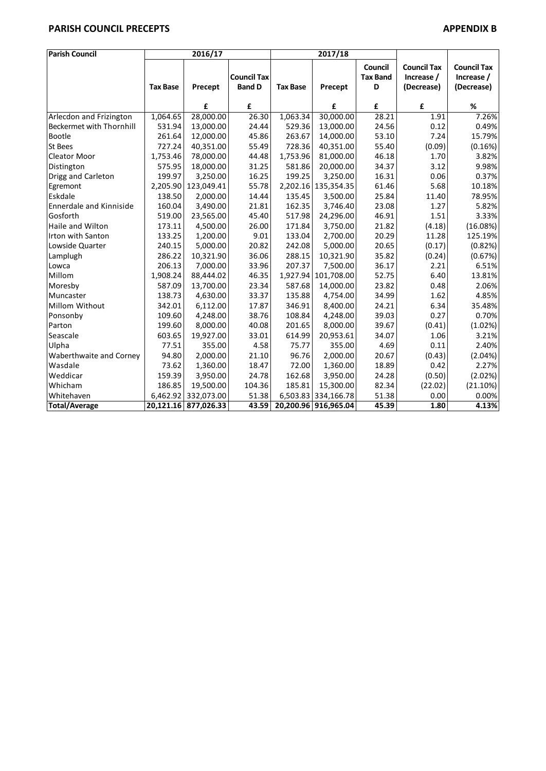### **PARISH COUNCIL PRECEPTS APPENDIX B**

| <b>Parish Council</b>          | 2016/17         |                      |                                     | 2017/18         |                      |                                 |                                                |                                                |
|--------------------------------|-----------------|----------------------|-------------------------------------|-----------------|----------------------|---------------------------------|------------------------------------------------|------------------------------------------------|
|                                | <b>Tax Base</b> | Precept              | <b>Council Tax</b><br><b>Band D</b> | <b>Tax Base</b> | Precept              | Council<br><b>Tax Band</b><br>D | <b>Council Tax</b><br>Increase /<br>(Decrease) | <b>Council Tax</b><br>Increase /<br>(Decrease) |
|                                |                 | £                    | £                                   |                 | £                    | £                               | £                                              | $\%$                                           |
| Arlecdon and Frizington        | 1,064.65        | 28,000.00            | 26.30                               | 1,063.34        | 30,000.00            | 28.21                           | 1.91                                           | 7.26%                                          |
| Beckermet with Thornhill       | 531.94          | 13,000.00            | 24.44                               | 529.36          | 13,000.00            | 24.56                           | 0.12                                           | 0.49%                                          |
| <b>Bootle</b>                  | 261.64          | 12,000.00            | 45.86                               | 263.67          | 14,000.00            | 53.10                           | 7.24                                           | 15.79%                                         |
| St Bees                        | 727.24          | 40,351.00            | 55.49                               | 728.36          | 40,351.00            | 55.40                           | (0.09)                                         | (0.16%)                                        |
| Cleator Moor                   | 1,753.46        | 78,000.00            | 44.48                               | 1,753.96        | 81,000.00            | 46.18                           | 1.70                                           | 3.82%                                          |
| Distington                     | 575.95          | 18,000.00            | 31.25                               | 581.86          | 20,000.00            | 34.37                           | 3.12                                           | 9.98%                                          |
| Drigg and Carleton             | 199.97          | 3,250.00             | 16.25                               | 199.25          | 3,250.00             | 16.31                           | 0.06                                           | 0.37%                                          |
| Egremont                       | 2,205.90        | 123,049.41           | 55.78                               | 2,202.16        | 135,354.35           | 61.46                           | 5.68                                           | 10.18%                                         |
| Eskdale                        | 138.50          | 2,000.00             | 14.44                               | 135.45          | 3,500.00             | 25.84                           | 11.40                                          | 78.95%                                         |
| <b>Ennerdale and Kinniside</b> | 160.04          | 3,490.00             | 21.81                               | 162.35          | 3,746.40             | 23.08                           | 1.27                                           | 5.82%                                          |
| Gosforth                       | 519.00          | 23,565.00            | 45.40                               | 517.98          | 24,296.00            | 46.91                           | 1.51                                           | 3.33%                                          |
| Haile and Wilton               | 173.11          | 4,500.00             | 26.00                               | 171.84          | 3,750.00             | 21.82                           | (4.18)                                         | (16.08%)                                       |
| Irton with Santon              | 133.25          | 1,200.00             | 9.01                                | 133.04          | 2,700.00             | 20.29                           | 11.28                                          | 125.19%                                        |
| Lowside Quarter                | 240.15          | 5,000.00             | 20.82                               | 242.08          | 5,000.00             | 20.65                           | (0.17)                                         | (0.82%)                                        |
| Lamplugh                       | 286.22          | 10,321.90            | 36.06                               | 288.15          | 10,321.90            | 35.82                           | (0.24)                                         | (0.67%)                                        |
| Lowca                          | 206.13          | 7,000.00             | 33.96                               | 207.37          | 7,500.00             | 36.17                           | 2.21                                           | 6.51%                                          |
| Millom                         | 1,908.24        | 88,444.02            | 46.35                               | 1,927.94        | 101,708.00           | 52.75                           | 6.40                                           | 13.81%                                         |
| Moresby                        | 587.09          | 13,700.00            | 23.34                               | 587.68          | 14,000.00            | 23.82                           | 0.48                                           | 2.06%                                          |
| Muncaster                      | 138.73          | 4,630.00             | 33.37                               | 135.88          | 4,754.00             | 34.99                           | 1.62                                           | 4.85%                                          |
| Millom Without                 | 342.01          | 6,112.00             | 17.87                               | 346.91          | 8,400.00             | 24.21                           | 6.34                                           | 35.48%                                         |
| Ponsonby                       | 109.60          | 4,248.00             | 38.76                               | 108.84          | 4,248.00             | 39.03                           | 0.27                                           | 0.70%                                          |
| Parton                         | 199.60          | 8,000.00             | 40.08                               | 201.65          | 8,000.00             | 39.67                           | (0.41)                                         | (1.02%)                                        |
| Seascale                       | 603.65          | 19,927.00            | 33.01                               | 614.99          | 20,953.61            | 34.07                           | 1.06                                           | 3.21%                                          |
| Ulpha                          | 77.51           | 355.00               | 4.58                                | 75.77           | 355.00               | 4.69                            | 0.11                                           | 2.40%                                          |
| Waberthwaite and Corney        | 94.80           | 2,000.00             | 21.10                               | 96.76           | 2,000.00             | 20.67                           | (0.43)                                         | (2.04%)                                        |
| Wasdale                        | 73.62           | 1,360.00             | 18.47                               | 72.00           | 1,360.00             | 18.89                           | 0.42                                           | 2.27%                                          |
| Weddicar                       | 159.39          | 3,950.00             | 24.78                               | 162.68          | 3,950.00             | 24.28                           | (0.50)                                         | (2.02%)                                        |
| Whicham                        | 186.85          | 19,500.00            | 104.36                              | 185.81          | 15,300.00            | 82.34                           | (22.02)                                        | (21.10%)                                       |
| Whitehaven                     |                 | 6,462.92 332,073.00  | 51.38                               |                 | 6,503.83 334,166.78  | 51.38                           | 0.00                                           | 0.00%                                          |
| <b>Total/Average</b>           |                 | 20,121.16 877,026.33 | 43.59                               |                 | 20,200.96 916,965.04 | 45.39                           | 1.80                                           | 4.13%                                          |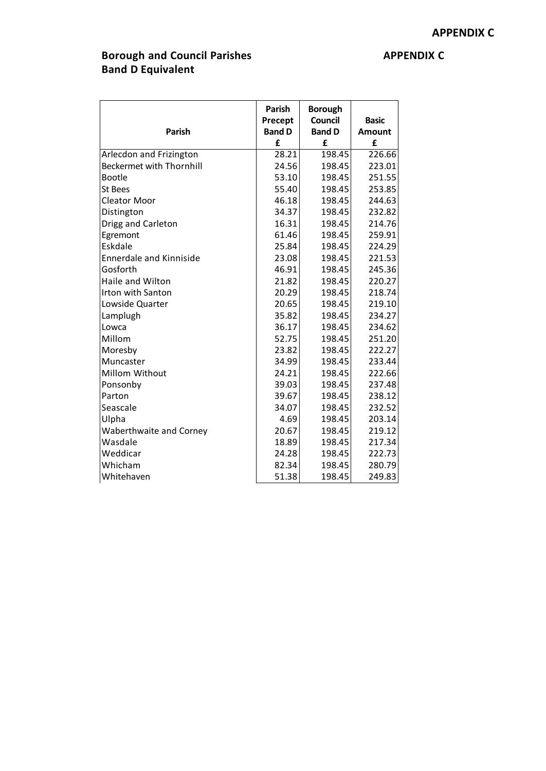### **Borough and Council Parishes APPENDIX C Band D Equivalent**

| <b>Parish</b>                   | <b>Parish</b><br>Precept<br><b>Band D</b> | <b>Borough</b><br><b>Council</b><br><b>Band D</b> | <b>Basic</b><br>Amount |  |
|---------------------------------|-------------------------------------------|---------------------------------------------------|------------------------|--|
|                                 | £                                         | £                                                 | £                      |  |
| Arlecdon and Frizington         | 28.21                                     | 198.45                                            | 226.66                 |  |
| <b>Beckermet with Thornhill</b> | 24.56                                     | 198.45                                            | 223.01                 |  |
| Bootle                          | 53.10                                     | 198.45                                            | 251.55                 |  |
| <b>St Bees</b>                  | 55.40                                     | 198.45                                            | 253.85                 |  |
| <b>Cleator Moor</b>             | 46.18                                     | 198.45                                            | 244.63                 |  |
| Distington                      | 34.37                                     | 198.45                                            | 232.82                 |  |
| Drigg and Carleton              | 16.31                                     | 198.45                                            | 214.76                 |  |
| Egremont                        | 61.46                                     | 198.45                                            | 259.91                 |  |
| Eskdale                         | 25.84                                     | 198.45                                            | 224.29                 |  |
| <b>Ennerdale and Kinniside</b>  | 23.08                                     | 198.45                                            | 221.53                 |  |
| Gosforth                        | 46.91                                     | 198.45                                            | 245.36                 |  |
| Haile and Wilton                | 21.82                                     | 198.45                                            | 220.27                 |  |
| <b>Irton with Santon</b>        | 20.29                                     | 198.45                                            | 218.74                 |  |
| Lowside Quarter                 | 20.65                                     | 198.45                                            | 219.10                 |  |
| Lamplugh                        | 35.82                                     | 198.45                                            | 234.27                 |  |
| Lowca                           | 36.17                                     | 198.45                                            | 234.62                 |  |
| Millom                          | 52.75                                     | 198.45                                            | 251.20                 |  |
| Moresby                         | 23.82                                     | 198.45                                            | 222.27                 |  |
| Muncaster                       | 34.99                                     | 198.45                                            | 233.44                 |  |
| Millom Without                  | 24.21                                     | 198.45                                            | 222.66                 |  |
| Ponsonby                        | 39.03                                     | 198.45                                            | 237.48                 |  |
| Parton                          | 39.67                                     | 198.45                                            | 238.12                 |  |
| Seascale                        | 34.07                                     | 198.45                                            | 232.52                 |  |
| Ulpha                           | 4.69                                      | 198.45                                            | 203.14                 |  |
| Waberthwaite and Corney         | 20.67                                     | 198.45                                            | 219.12                 |  |
| Wasdale                         | 18.89                                     | 198.45                                            | 217.34                 |  |
| Weddicar                        | 24.28                                     | 198.45                                            | 222.73                 |  |
| Whicham                         | 82.34                                     | 198.45                                            | 280.79                 |  |
| Whitehaven                      | 51.38                                     | 198.45                                            | 249.83                 |  |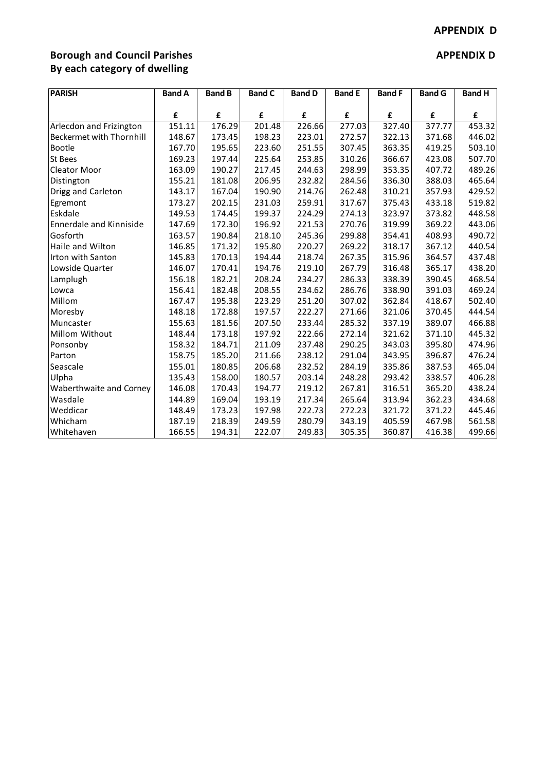# **Borough** and Council Parishes **APPENDIX D By each category of dwelling**

| <b>PARISH</b>            | <b>Band A</b> | <b>Band B</b> | <b>Band C</b> | <b>Band D</b> | <b>Band E</b> | <b>Band F</b> | <b>Band G</b> | <b>Band H</b> |
|--------------------------|---------------|---------------|---------------|---------------|---------------|---------------|---------------|---------------|
|                          | £             | £             | £             | £             | £             | £             | £             | £             |
| Arlecdon and Frizington  | 151.11        | 176.29        | 201.48        | 226.66        | 277.03        | 327.40        | 377.77        | 453.32        |
| Beckermet with Thornhill | 148.67        | 173.45        | 198.23        | 223.01        | 272.57        | 322.13        | 371.68        | 446.02        |
| <b>Bootle</b>            | 167.70        | 195.65        | 223.60        | 251.55        | 307.45        | 363.35        | 419.25        | 503.10        |
| St Bees                  | 169.23        | 197.44        | 225.64        | 253.85        | 310.26        | 366.67        | 423.08        | 507.70        |
| Cleator Moor             | 163.09        | 190.27        | 217.45        | 244.63        | 298.99        | 353.35        | 407.72        | 489.26        |
| Distington               | 155.21        | 181.08        | 206.95        | 232.82        | 284.56        | 336.30        | 388.03        | 465.64        |
| Drigg and Carleton       | 143.17        | 167.04        | 190.90        | 214.76        | 262.48        | 310.21        | 357.93        | 429.52        |
| Egremont                 | 173.27        | 202.15        | 231.03        | 259.91        | 317.67        | 375.43        | 433.18        | 519.82        |
| Eskdale                  | 149.53        | 174.45        | 199.37        | 224.29        | 274.13        | 323.97        | 373.82        | 448.58        |
| Ennerdale and Kinniside  | 147.69        | 172.30        | 196.92        | 221.53        | 270.76        | 319.99        | 369.22        | 443.06        |
| Gosforth                 | 163.57        | 190.84        | 218.10        | 245.36        | 299.88        | 354.41        | 408.93        | 490.72        |
| Haile and Wilton         | 146.85        | 171.32        | 195.80        | 220.27        | 269.22        | 318.17        | 367.12        | 440.54        |
| Irton with Santon        | 145.83        | 170.13        | 194.44        | 218.74        | 267.35        | 315.96        | 364.57        | 437.48        |
| Lowside Quarter          | 146.07        | 170.41        | 194.76        | 219.10        | 267.79        | 316.48        | 365.17        | 438.20        |
| Lamplugh                 | 156.18        | 182.21        | 208.24        | 234.27        | 286.33        | 338.39        | 390.45        | 468.54        |
| Lowca                    | 156.41        | 182.48        | 208.55        | 234.62        | 286.76        | 338.90        | 391.03        | 469.24        |
| Millom                   | 167.47        | 195.38        | 223.29        | 251.20        | 307.02        | 362.84        | 418.67        | 502.40        |
| Moresby                  | 148.18        | 172.88        | 197.57        | 222.27        | 271.66        | 321.06        | 370.45        | 444.54        |
| Muncaster                | 155.63        | 181.56        | 207.50        | 233.44        | 285.32        | 337.19        | 389.07        | 466.88        |
| Millom Without           | 148.44        | 173.18        | 197.92        | 222.66        | 272.14        | 321.62        | 371.10        | 445.32        |
| Ponsonby                 | 158.32        | 184.71        | 211.09        | 237.48        | 290.25        | 343.03        | 395.80        | 474.96        |
| Parton                   | 158.75        | 185.20        | 211.66        | 238.12        | 291.04        | 343.95        | 396.87        | 476.24        |
| Seascale                 | 155.01        | 180.85        | 206.68        | 232.52        | 284.19        | 335.86        | 387.53        | 465.04        |
| Ulpha                    | 135.43        | 158.00        | 180.57        | 203.14        | 248.28        | 293.42        | 338.57        | 406.28        |
| Waberthwaite and Corney  | 146.08        | 170.43        | 194.77        | 219.12        | 267.81        | 316.51        | 365.20        | 438.24        |
| Wasdale                  | 144.89        | 169.04        | 193.19        | 217.34        | 265.64        | 313.94        | 362.23        | 434.68        |
| Weddicar                 | 148.49        | 173.23        | 197.98        | 222.73        | 272.23        | 321.72        | 371.22        | 445.46        |
| Whicham                  | 187.19        | 218.39        | 249.59        | 280.79        | 343.19        | 405.59        | 467.98        | 561.58        |
| Whitehaven               | 166.55        | 194.31        | 222.07        | 249.83        | 305.35        | 360.87        | 416.38        | 499.66        |